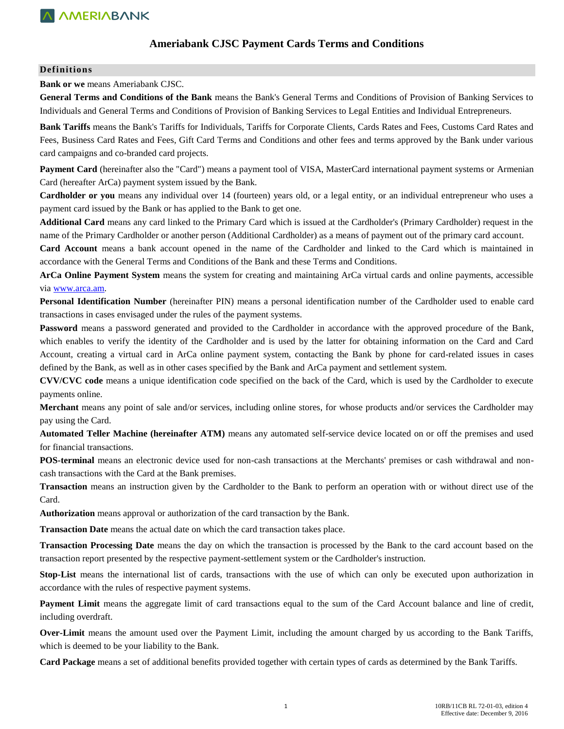### **Ameriabank CJSC Payment Cards Terms and Conditions**

#### **Definitions**

**Bank or we** means Ameriabank CJSC.

**General Terms and Conditions of the Bank** means the Bank's General Terms and Conditions of Provision of Banking Services to Individuals and General Terms and Conditions of Provision of Banking Services to Legal Entities and Individual Entrepreneurs.

**Bank Tariffs** means the Bank's Tariffs for Individuals, Tariffs for Corporate Clients, Cards Rates and Fees, Customs Card Rates and Fees, Business Card Rates and Fees, Gift Card Terms and Conditions and other fees and terms approved by the Bank under various card campaigns and co-branded card projects.

**Payment Card** (hereinafter also the "Card") means a payment tool of VISA, MasterCard international payment systems or Armenian Card (hereafter ArCa) payment system issued by the Bank.

**Cardholder or you** means any individual over 14 (fourteen) years old, or a legal entity, or an individual entrepreneur who uses a payment card issued by the Bank or has applied to the Bank to get one.

**Additional Card** means any card linked to the Primary Card which is issued at the Cardholder's (Primary Cardholder) request in the name of the Primary Cardholder or another person (Additional Cardholder) as a means of payment out of the primary card account.

**Card Account** means a bank account opened in the name of the Cardholder and linked to the Card which is maintained in accordance with the General Terms and Conditions of the Bank and these Terms and Conditions.

**ArCa Online Payment System** means the system for creating and maintaining ArCa virtual cards and online payments, accessible via [www.arca.am.](http://www.arca.am/) 

**Personal Identification Number** (hereinafter PIN) means a personal identification number of the Cardholder used to enable card transactions in cases envisaged under the rules of the payment systems.

**Password** means a password generated and provided to the Cardholder in accordance with the approved procedure of the Bank, which enables to verify the identity of the Cardholder and is used by the latter for obtaining information on the Card and Card Account, creating a virtual card in ArCa online payment system, contacting the Bank by phone for card-related issues in cases defined by the Bank, as well as in other cases specified by the Bank and ArCa payment and settlement system.

**CVV/CVC code** means a unique identification code specified on the back of the Card, which is used by the Cardholder to execute payments online.

**Merchant** means any point of sale and/or services, including online stores, for whose products and/or services the Cardholder may pay using the Card.

**Automated Teller Machine (hereinafter ATM)** means any automated self-service device located on or off the premises and used for financial transactions.

**POS-terminal** means an electronic device used for non-cash transactions at the Merchants' premises or cash withdrawal and noncash transactions with the Card at the Bank premises.

**Transaction** means an instruction given by the Cardholder to the Bank to perform an operation with or without direct use of the Card.

**Authorization** means approval or authorization of the card transaction by the Bank.

**Transaction Date** means the actual date on which the card transaction takes place.

**Transaction Processing Date** means the day on which the transaction is processed by the Bank to the card account based on the transaction report presented by the respective payment-settlement system or the Cardholder's instruction.

**Stop-List** means the international list of cards, transactions with the use of which can only be executed upon authorization in accordance with the rules of respective payment systems.

**Payment Limit** means the aggregate limit of card transactions equal to the sum of the Card Account balance and line of credit, including overdraft.

**Over-Limit** means the amount used over the Payment Limit, including the amount charged by us according to the Bank Tariffs, which is deemed to be your liability to the Bank.

**Card Package** means a set of additional benefits provided together with certain types of cards as determined by the Bank Tariffs.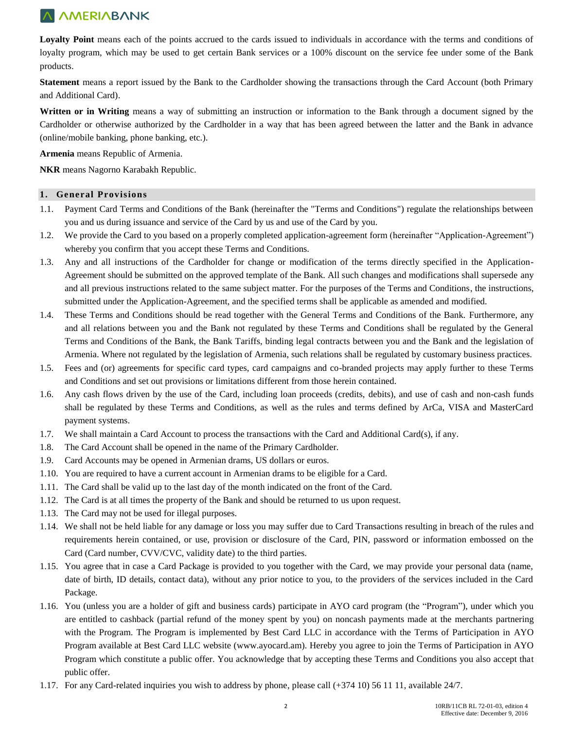Loyalty Point means each of the points accrued to the cards issued to individuals in accordance with the terms and conditions of loyalty program, which may be used to get certain Bank services or a 100% discount on the service fee under some of the Bank products.

**Statement** means a report issued by the Bank to the Cardholder showing the transactions through the Card Account (both Primary and Additional Card).

**Written or in Writing** means a way of submitting an instruction or information to the Bank through a document signed by the Cardholder or otherwise authorized by the Cardholder in a way that has been agreed between the latter and the Bank in advance (online/mobile banking, phone banking, etc.).

**Armenia** means Republic of Armenia.

**NKR** means Nagorno Karabakh Republic.

#### **1. General Provisions**

- 1.1. Payment Card Terms and Conditions of the Bank (hereinafter the "Terms and Conditions") regulate the relationships between you and us during issuance and service of the Card by us and use of the Card by you.
- 1.2. We provide the Card to you based on a properly completed application-agreement form (hereinafter "Application-Agreement") whereby you confirm that you accept these Terms and Conditions.
- 1.3. Any and all instructions of the Cardholder for change or modification of the terms directly specified in the Application-Agreement should be submitted on the approved template of the Bank. All such changes and modifications shall supersede any and all previous instructions related to the same subject matter. For the purposes of the Terms and Conditions, the instructions, submitted under the Application-Agreement, and the specified terms shall be applicable as amended and modified.
- 1.4. These Terms and Conditions should be read together with the General Terms and Conditions of the Bank. Furthermore, any and all relations between you and the Bank not regulated by these Terms and Conditions shall be regulated by the General Terms and Conditions of the Bank, the Bank Tariffs, binding legal contracts between you and the Bank and the legislation of Armenia. Where not regulated by the legislation of Armenia, such relations shall be regulated by customary business practices.
- 1.5. Fees and (or) agreements for specific card types, card campaigns and co-branded projects may apply further to these Terms and Conditions and set out provisions or limitations different from those herein contained.
- 1.6. Any cash flows driven by the use of the Card, including loan proceeds (credits, debits), and use of cash and non-cash funds shall be regulated by these Terms and Conditions, as well as the rules and terms defined by ArCa, VISA and MasterCard payment systems.
- 1.7. We shall maintain a Card Account to process the transactions with the Card and Additional Card(s), if any.
- 1.8. The Card Account shall be opened in the name of the Primary Cardholder.
- 1.9. Card Accounts may be opened in Armenian drams, US dollars or euros.
- 1.10. You are required to have a current account in Armenian drams to be eligible for a Card.
- 1.11. The Card shall be valid up to the last day of the month indicated on the front of the Card.
- 1.12. The Card is at all times the property of the Bank and should be returned to us upon request.
- 1.13. The Card may not be used for illegal purposes.
- 1.14. We shall not be held liable for any damage or loss you may suffer due to Card Transactions resulting in breach of the rules and requirements herein contained, or use, provision or disclosure of the Card, PIN, password or information embossed on the Card (Card number, CVV/CVC, validity date) to the third parties.
- 1.15. You agree that in case a Card Package is provided to you together with the Card, we may provide your personal data (name, date of birth, ID details, contact data), without any prior notice to you, to the providers of the services included in the Card Package.
- 1.16. You (unless you are a holder of gift and business cards) participate in AYO card program (the "Program"), under which you are entitled to cashback (partial refund of the money spent by you) on noncash payments made at the merchants partnering with the Program. The Program is implemented by Best Card LLC in accordance with the Terms of Participation in AYO Program available at Best Card LLC website [\(www.ayocard.am\)](http://www.ayocard.am/). Hereby you agree to join the Terms of Participation in AYO Program which constitute a public offer. You acknowledge that by accepting these Terms and Conditions you also accept that public offer.
- 1.17. For any Card-related inquiries you wish to address by phone, please call (+374 10) 56 11 11, available 24/7.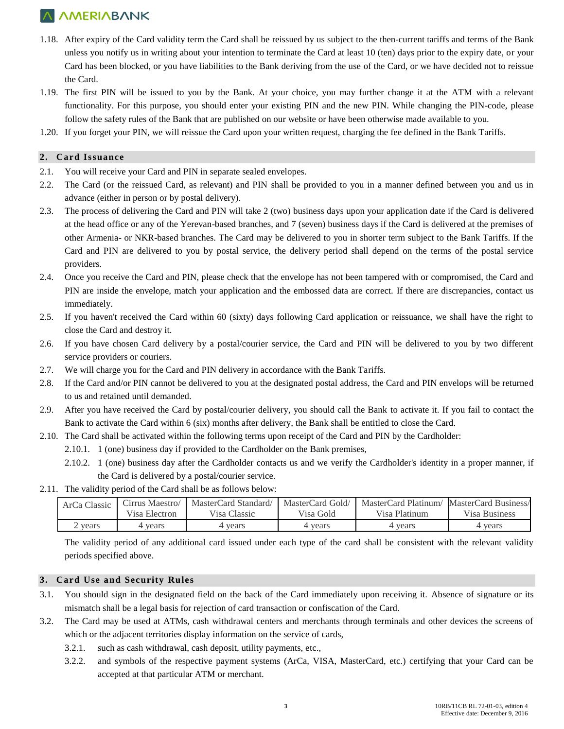- 1.18. After expiry of the Card validity term the Card shall be reissued by us subject to the then-current tariffs and terms of the Bank unless you notify us in writing about your intention to terminate the Card at least 10 (ten) days prior to the expiry date, or your Card has been blocked, or you have liabilities to the Bank deriving from the use of the Card, or we have decided not to reissue the Card.
- 1.19. The first PIN will be issued to you by the Bank. At your choice, you may further change it at the ATM with a relevant functionality. For this purpose, you should enter your existing PIN and the new PIN. While changing the PIN-code, please follow the safety rules of the Bank that are published on our website or have been otherwise made available to you.
- 1.20. If you forget your PIN, we will reissue the Card upon your written request, charging the fee defined in the Bank Tariffs.

### **2. Card Issuance**

- 2.1. You will receive your Card and PIN in separate sealed envelopes.
- 2.2. The Card (or the reissued Card, as relevant) and PIN shall be provided to you in a manner defined between you and us in advance (either in person or by postal delivery).
- 2.3. The process of delivering the Card and PIN will take 2 (two) business days upon your application date if the Card is delivered at the head office or any of the Yerevan-based branches, and 7 (seven) business days if the Card is delivered at the premises of other Armenia- or NKR-based branches. The Card may be delivered to you in shorter term subject to the Bank Tariffs. If the Card and PIN are delivered to you by postal service, the delivery period shall depend on the terms of the postal service providers.
- 2.4. Once you receive the Card and PIN, please check that the envelope has not been tampered with or compromised, the Card and PIN are inside the envelope, match your application and the embossed data are correct. If there are discrepancies, contact us immediately.
- 2.5. If you haven't received the Card within 60 (sixty) days following Card application or reissuance, we shall have the right to close the Card and destroy it.
- 2.6. If you have chosen Card delivery by a postal/courier service, the Card and PIN will be delivered to you by two different service providers or couriers.
- 2.7. We will charge you for the Card and PIN delivery in accordance with the Bank Tariffs.
- 2.8. If the Card and/or PIN cannot be delivered to you at the designated postal address, the Card and PIN envelops will be returned to us and retained until demanded.
- 2.9. After you have received the Card by postal/courier delivery, you should call the Bank to activate it. If you fail to contact the Bank to activate the Card within 6 (six) months after delivery, the Bank shall be entitled to close the Card.
- 2.10. The Card shall be activated within the following terms upon receipt of the Card and PIN by the Cardholder:
	- 2.10.1. 1 (one) business day if provided to the Cardholder on the Bank premises,
	- 2.10.2. 1 (one) business day after the Cardholder contacts us and we verify the Cardholder's identity in a proper manner, if the Card is delivered by a postal/courier service.
- 2.11. The validity period of the Card shall be as follows below:

| ArCa Classic | Cirrus Maestro/ | MasterCard Standard/ | MasterCard Gold/ | MasterCard Platinum/ | MasterCard Business/ |
|--------------|-----------------|----------------------|------------------|----------------------|----------------------|
|              | Visa Electron   | Visa Classic         | Visa Gold        | Visa Platinum        | Visa Business        |
| years        | l years         | 4 vears              | 4 years          | vears                | vears                |

The validity period of any additional card issued under each type of the card shall be consistent with the relevant validity periods specified above.

#### **3. Card Use and Security Rules**

- 3.1. You should sign in the designated field on the back of the Card immediately upon receiving it. Absence of signature or its mismatch shall be a legal basis for rejection of card transaction or confiscation of the Card.
- 3.2. The Card may be used at ATMs, cash withdrawal centers and merchants through terminals and other devices the screens of which or the adjacent territories display information on the service of cards,
	- 3.2.1. such as cash withdrawal, cash deposit, utility payments, etc.,
	- 3.2.2. and symbols of the respective payment systems (ArCa, VISA, MasterCard, etc.) certifying that your Card can be accepted at that particular ATM or merchant.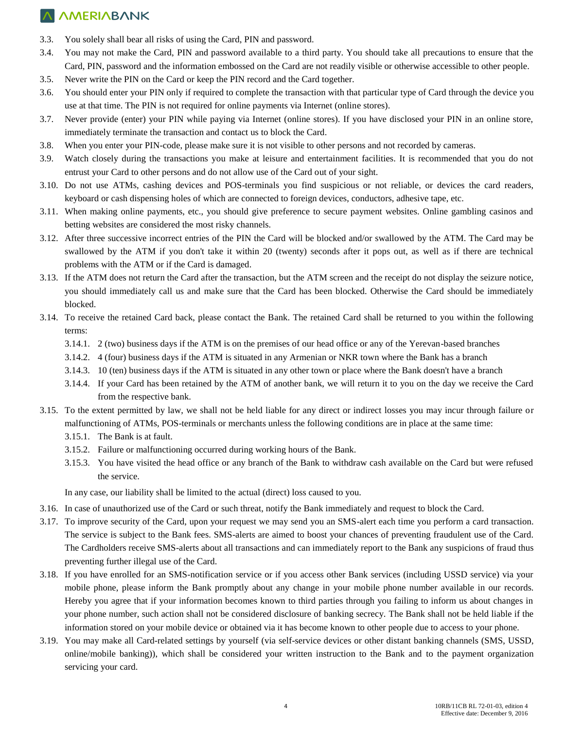- 3.3. You solely shall bear all risks of using the Card, PIN and password.
- 3.4. You may not make the Card, PIN and password available to a third party. You should take all precautions to ensure that the Card, PIN, password and the information embossed on the Card are not readily visible or otherwise accessible to other people.
- 3.5. Never write the PIN on the Card or keep the PIN record and the Card together.
- 3.6. You should enter your PIN only if required to complete the transaction with that particular type of Card through the device you use at that time. The PIN is not required for online payments via Internet (online stores).
- 3.7. Never provide (enter) your PIN while paying via Internet (online stores). If you have disclosed your PIN in an online store, immediately terminate the transaction and contact us to block the Card.
- 3.8. When you enter your PIN-code, please make sure it is not visible to other persons and not recorded by cameras.
- 3.9. Watch closely during the transactions you make at leisure and entertainment facilities. It is recommended that you do not entrust your Card to other persons and do not allow use of the Card out of your sight.
- 3.10. Do not use ATMs, cashing devices and POS-terminals you find suspicious or not reliable, or devices the card readers, keyboard or cash dispensing holes of which are connected to foreign devices, conductors, adhesive tape, etc.
- 3.11. When making online payments, etc., you should give preference to secure payment websites. Online gambling casinos and betting websites are considered the most risky channels.
- 3.12. After three successive incorrect entries of the PIN the Card will be blocked and/or swallowed by the ATM. The Card may be swallowed by the ATM if you don't take it within 20 (twenty) seconds after it pops out, as well as if there are technical problems with the ATM or if the Card is damaged.
- 3.13. If the ATM does not return the Card after the transaction, but the ATM screen and the receipt do not display the seizure notice, you should immediately call us and make sure that the Card has been blocked. Otherwise the Card should be immediately blocked.
- 3.14. To receive the retained Card back, please contact the Bank. The retained Card shall be returned to you within the following terms:
	- 3.14.1. 2 (two) business days if the ATM is on the premises of our head office or any of the Yerevan-based branches
	- 3.14.2. 4 (four) business days if the ATM is situated in any Armenian or NKR town where the Bank has a branch
	- 3.14.3. 10 (ten) business days if the ATM is situated in any other town or place where the Bank doesn't have a branch
	- 3.14.4. If your Card has been retained by the ATM of another bank, we will return it to you on the day we receive the Card from the respective bank.
- 3.15. To the extent permitted by law, we shall not be held liable for any direct or indirect losses you may incur through failure or malfunctioning of ATMs, POS-terminals or merchants unless the following conditions are in place at the same time:
	- 3.15.1. The Bank is at fault.
	- 3.15.2. Failure or malfunctioning occurred during working hours of the Bank.
	- 3.15.3. You have visited the head office or any branch of the Bank to withdraw cash available on the Card but were refused the service.

In any case, our liability shall be limited to the actual (direct) loss caused to you.

- 3.16. In case of unauthorized use of the Card or such threat, notify the Bank immediately and request to block the Card.
- 3.17. To improve security of the Card, upon your request we may send you an SMS-alert each time you perform a card transaction. The service is subject to the Bank fees. SMS-alerts are aimed to boost your chances of preventing fraudulent use of the Card. The Cardholders receive SMS-alerts about all transactions and can immediately report to the Bank any suspicions of fraud thus preventing further illegal use of the Card.
- 3.18. If you have enrolled for an SMS-notification service or if you access other Bank services (including USSD service) via your mobile phone, please inform the Bank promptly about any change in your mobile phone number available in our records. Hereby you agree that if your information becomes known to third parties through you failing to inform us about changes in your phone number, such action shall not be considered disclosure of banking secrecy. The Bank shall not be held liable if the information stored on your mobile device or obtained via it has become known to other people due to access to your phone.
- 3.19. You may make all Card-related settings by yourself (via self-service devices or other distant banking channels (SMS, USSD, online/mobile banking)), which shall be considered your written instruction to the Bank and to the payment organization servicing your card.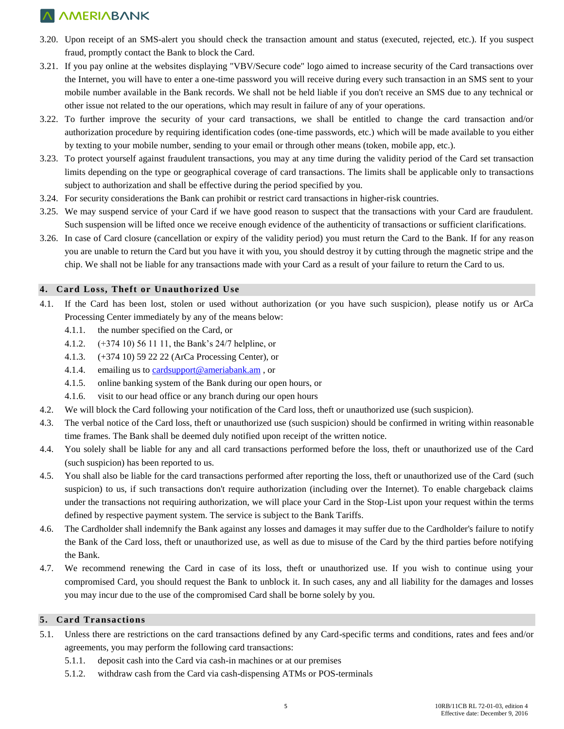- 3.20. Upon receipt of an SMS-alert you should check the transaction amount and status (executed, rejected, etc.). If you suspect fraud, promptly contact the Bank to block the Card.
- 3.21. If you pay online at the websites displaying "VBV/Secure code" logo aimed to increase security of the Card transactions over the Internet, you will have to enter a one-time password you will receive during every such transaction in an SMS sent to your mobile number available in the Bank records. We shall not be held liable if you don't receive an SMS due to any technical or other issue not related to the our operations, which may result in failure of any of your operations.
- 3.22. To further improve the security of your card transactions, we shall be entitled to change the card transaction and/or authorization procedure by requiring identification codes (one-time passwords, etc.) which will be made available to you either by texting to your mobile number, sending to your email or through other means (token, mobile app, etc.).
- 3.23. To protect yourself against fraudulent transactions, you may at any time during the validity period of the Card set transaction limits depending on the type or geographical coverage of card transactions. The limits shall be applicable only to transactions subject to authorization and shall be effective during the period specified by you.
- 3.24. For security considerations the Bank can prohibit or restrict card transactions in higher-risk countries.
- 3.25. We may suspend service of your Card if we have good reason to suspect that the transactions with your Card are fraudulent. Such suspension will be lifted once we receive enough evidence of the authenticity of transactions or sufficient clarifications.
- 3.26. In case of Card closure (cancellation or expiry of the validity period) you must return the Card to the Bank. If for any reason you are unable to return the Card but you have it with you, you should destroy it by cutting through the magnetic stripe and the chip. We shall not be liable for any transactions made with your Card as a result of your failure to return the Card to us.

### **4. Card Loss, Theft or Unauthorized Use**

- 4.1. If the Card has been lost, stolen or used without authorization (or you have such suspicion), please notify us or ArCa Processing Center immediately by any of the means below:
	- 4.1.1. the number specified on the Card, or
	- 4.1.2. (+374 10) 56 11 11, the Bank's 24/7 helpline, or
	- 4.1.3. (+374 10) 59 22 22 (ArCa Processing Center), or
	- 4.1.4. emailing us to [cardsupport@ameriabank.am](mailto:cardsupport@ameriabank.am), or
	- 4.1.5. online banking system of the Bank during our open hours, or
	- 4.1.6. visit to our head office or any branch during our open hours
- 4.2. We will block the Card following your notification of the Card loss, theft or unauthorized use (such suspicion).
- 4.3. The verbal notice of the Card loss, theft or unauthorized use (such suspicion) should be confirmed in writing within reasonable time frames. The Bank shall be deemed duly notified upon receipt of the written notice.
- 4.4. You solely shall be liable for any and all card transactions performed before the loss, theft or unauthorized use of the Card (such suspicion) has been reported to us.
- 4.5. You shall also be liable for the card transactions performed after reporting the loss, theft or unauthorized use of the Card (such suspicion) to us, if such transactions don't require authorization (including over the Internet). To enable chargeback claims under the transactions not requiring authorization, we will place your Card in the Stop-List upon your request within the terms defined by respective payment system. The service is subject to the Bank Tariffs.
- 4.6. The Cardholder shall indemnify the Bank against any losses and damages it may suffer due to the Cardholder's failure to notify the Bank of the Card loss, theft or unauthorized use, as well as due to misuse of the Card by the third parties before notifying the Bank.
- 4.7. We recommend renewing the Card in case of its loss, theft or unauthorized use. If you wish to continue using your compromised Card, you should request the Bank to unblock it. In such cases, any and all liability for the damages and losses you may incur due to the use of the compromised Card shall be borne solely by you.

#### **5. Card Transactions**

- 5.1. Unless there are restrictions on the card transactions defined by any Card-specific terms and conditions, rates and fees and/or agreements, you may perform the following card transactions:
	- 5.1.1. deposit cash into the Card via cash-in machines or at our premises
	- 5.1.2. withdraw cash from the Card via cash-dispensing ATMs or POS-terminals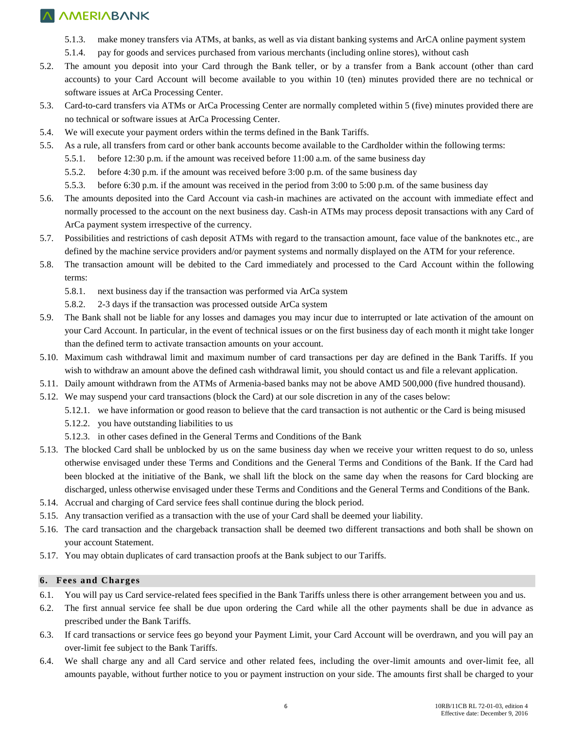- 5.1.3. make money transfers via ATMs, at banks, as well as via distant banking systems and ArCA online payment system
- 5.1.4. pay for goods and services purchased from various merchants (including online stores), without cash
- 5.2. The amount you deposit into your Card through the Bank teller, or by a transfer from a Bank account (other than card accounts) to your Card Account will become available to you within 10 (ten) minutes provided there are no technical or software issues at ArCa Processing Center.
- 5.3. Card-to-card transfers via ATMs or ArCa Processing Center are normally completed within 5 (five) minutes provided there are no technical or software issues at ArCa Processing Center.
- 5.4. We will execute your payment orders within the terms defined in the Bank Tariffs.
- 5.5. As a rule, all transfers from card or other bank accounts become available to the Cardholder within the following terms:
	- 5.5.1. before 12:30 p.m. if the amount was received before 11:00 a.m. of the same business day
	- 5.5.2. before 4:30 p.m. if the amount was received before 3:00 p.m. of the same business day
	- 5.5.3. before 6:30 p.m. if the amount was received in the period from 3:00 to 5:00 p.m. of the same business day
- 5.6. The amounts deposited into the Card Account via cash-in machines are activated on the account with immediate effect and normally processed to the account on the next business day. Cash-in ATMs may process deposit transactions with any Card of ArCa payment system irrespective of the currency.
- 5.7. Possibilities and restrictions of cash deposit ATMs with regard to the transaction amount, face value of the banknotes etc., are defined by the machine service providers and/or payment systems and normally displayed on the ATM for your reference.
- 5.8. The transaction amount will be debited to the Card immediately and processed to the Card Account within the following terms:
	- 5.8.1. next business day if the transaction was performed via ArCa system
	- 5.8.2. 2-3 days if the transaction was processed outside ArCa system
- 5.9. The Bank shall not be liable for any losses and damages you may incur due to interrupted or late activation of the amount on your Card Account. In particular, in the event of technical issues or on the first business day of each month it might take longer than the defined term to activate transaction amounts on your account.
- 5.10. Maximum cash withdrawal limit and maximum number of card transactions per day are defined in the Bank Tariffs. If you wish to withdraw an amount above the defined cash withdrawal limit, you should contact us and file a relevant application.
- 5.11. Daily amount withdrawn from the ATMs of Armenia-based banks may not be above AMD 500,000 (five hundred thousand).
- 5.12. We may suspend your card transactions (block the Card) at our sole discretion in any of the cases below:
	- 5.12.1. we have information or good reason to believe that the card transaction is not authentic or the Card is being misused
	- 5.12.2. you have outstanding liabilities to us
	- 5.12.3. in other cases defined in the General Terms and Conditions of the Bank
- 5.13. The blocked Card shall be unblocked by us on the same business day when we receive your written request to do so, unless otherwise envisaged under these Terms and Conditions and the General Terms and Conditions of the Bank. If the Card had been blocked at the initiative of the Bank, we shall lift the block on the same day when the reasons for Card blocking are discharged, unless otherwise envisaged under these Terms and Conditions and the General Terms and Conditions of the Bank.
- 5.14. Accrual and charging of Card service fees shall continue during the block period.
- 5.15. Any transaction verified as a transaction with the use of your Card shall be deemed your liability.
- 5.16. The card transaction and the chargeback transaction shall be deemed two different transactions and both shall be shown on your account Statement.
- 5.17. You may obtain duplicates of card transaction proofs at the Bank subject to our Tariffs.

#### **6. Fees and Charges**

- 6.1. You will pay us Card service-related fees specified in the Bank Tariffs unless there is other arrangement between you and us.
- 6.2. The first annual service fee shall be due upon ordering the Card while all the other payments shall be due in advance as prescribed under the Bank Tariffs.
- 6.3. If card transactions or service fees go beyond your Payment Limit, your Card Account will be overdrawn, and you will pay an over-limit fee subject to the Bank Tariffs.
- 6.4. We shall charge any and all Card service and other related fees, including the over-limit amounts and over-limit fee, all amounts payable, without further notice to you or payment instruction on your side. The amounts first shall be charged to your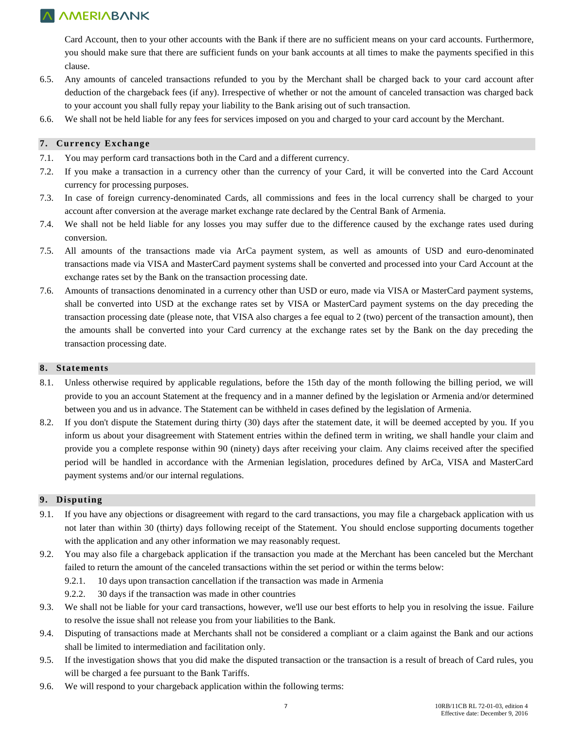Card Account, then to your other accounts with the Bank if there are no sufficient means on your card accounts. Furthermore, you should make sure that there are sufficient funds on your bank accounts at all times to make the payments specified in this clause.

- 6.5. Any amounts of canceled transactions refunded to you by the Merchant shall be charged back to your card account after deduction of the chargeback fees (if any). Irrespective of whether or not the amount of canceled transaction was charged back to your account you shall fully repay your liability to the Bank arising out of such transaction.
- 6.6. We shall not be held liable for any fees for services imposed on you and charged to your card account by the Merchant.

### **7. Currency Exchange**

- 7.1. You may perform card transactions both in the Card and a different currency.
- 7.2. If you make a transaction in a currency other than the currency of your Card, it will be converted into the Card Account currency for processing purposes.
- 7.3. In case of foreign currency-denominated Cards, all commissions and fees in the local currency shall be charged to your account after conversion at the average market exchange rate declared by the Central Bank of Armenia.
- 7.4. We shall not be held liable for any losses you may suffer due to the difference caused by the exchange rates used during conversion.
- 7.5. All amounts of the transactions made via ArCa payment system, as well as amounts of USD and euro-denominated transactions made via VISA and MasterCard payment systems shall be converted and processed into your Card Account at the exchange rates set by the Bank on the transaction processing date.
- 7.6. Amounts of transactions denominated in a currency other than USD or euro, made via VISA or MasterCard payment systems, shall be converted into USD at the exchange rates set by VISA or MasterCard payment systems on the day preceding the transaction processing date (please note, that VISA also charges a fee equal to 2 (two) percent of the transaction amount), then the amounts shall be converted into your Card currency at the exchange rates set by the Bank on the day preceding the transaction processing date.

#### **8. Statements**

- 8.1. Unless otherwise required by applicable regulations, before the 15th day of the month following the billing period, we will provide to you an account Statement at the frequency and in a manner defined by the legislation or Armenia and/or determined between you and us in advance. The Statement can be withheld in cases defined by the legislation of Armenia.
- 8.2. If you don't dispute the Statement during thirty (30) days after the statement date, it will be deemed accepted by you. If you inform us about your disagreement with Statement entries within the defined term in writing, we shall handle your claim and provide you a complete response within 90 (ninety) days after receiving your claim. Any claims received after the specified period will be handled in accordance with the Armenian legislation, procedures defined by ArCa, VISA and MasterCard payment systems and/or our internal regulations.

### **9. Disputing**

- 9.1. If you have any objections or disagreement with regard to the card transactions, you may file a chargeback application with us not later than within 30 (thirty) days following receipt of the Statement. You should enclose supporting documents together with the application and any other information we may reasonably request.
- 9.2. You may also file a chargeback application if the transaction you made at the Merchant has been canceled but the Merchant failed to return the amount of the canceled transactions within the set period or within the terms below:
	- 9.2.1. 10 days upon transaction cancellation if the transaction was made in Armenia
	- 9.2.2. 30 days if the transaction was made in other countries
- 9.3. We shall not be liable for your card transactions, however, we'll use our best efforts to help you in resolving the issue. Failure to resolve the issue shall not release you from your liabilities to the Bank.
- 9.4. Disputing of transactions made at Merchants shall not be considered a compliant or a claim against the Bank and our actions shall be limited to intermediation and facilitation only.
- 9.5. If the investigation shows that you did make the disputed transaction or the transaction is a result of breach of Card rules, you will be charged a fee pursuant to the Bank Tariffs.
- 9.6. We will respond to your chargeback application within the following terms: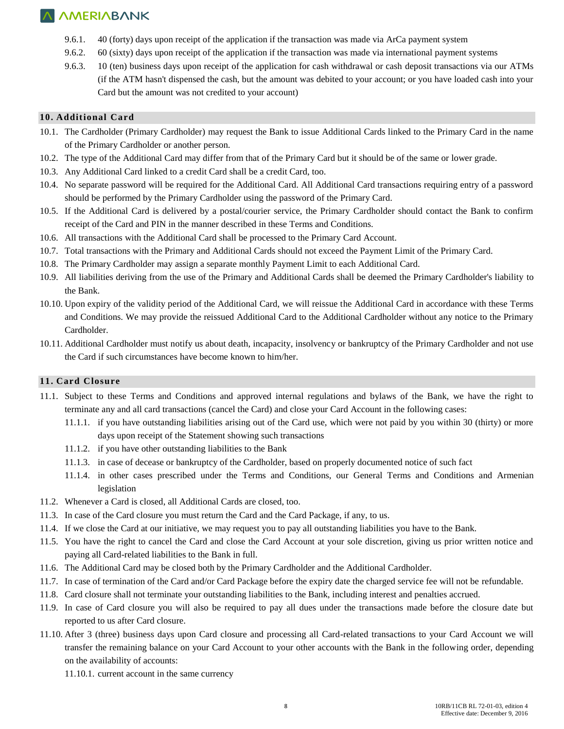- 9.6.1. 40 (forty) days upon receipt of the application if the transaction was made via ArCa payment system
- 9.6.2. 60 (sixty) days upon receipt of the application if the transaction was made via international payment systems
- 9.6.3. 10 (ten) business days upon receipt of the application for cash withdrawal or cash deposit transactions via our ATMs (if the ATM hasn't dispensed the cash, but the amount was debited to your account; or you have loaded cash into your Card but the amount was not credited to your account)

### **10. Additional Card**

- 10.1. The Cardholder (Primary Cardholder) may request the Bank to issue Additional Cards linked to the Primary Card in the name of the Primary Cardholder or another person.
- 10.2. The type of the Additional Card may differ from that of the Primary Card but it should be of the same or lower grade.
- 10.3. Any Additional Card linked to a credit Card shall be a credit Card, too.
- 10.4. No separate password will be required for the Additional Card. All Additional Card transactions requiring entry of a password should be performed by the Primary Cardholder using the password of the Primary Card.
- 10.5. If the Additional Card is delivered by a postal/courier service, the Primary Cardholder should contact the Bank to confirm receipt of the Card and PIN in the manner described in these Terms and Conditions.
- 10.6. All transactions with the Additional Card shall be processed to the Primary Card Account.
- 10.7. Total transactions with the Primary and Additional Cards should not exceed the Payment Limit of the Primary Card.
- 10.8. The Primary Cardholder may assign a separate monthly Payment Limit to each Additional Card.
- 10.9. All liabilities deriving from the use of the Primary and Additional Cards shall be deemed the Primary Cardholder's liability to the Bank.
- 10.10. Upon expiry of the validity period of the Additional Card, we will reissue the Additional Card in accordance with these Terms and Conditions. We may provide the reissued Additional Card to the Additional Cardholder without any notice to the Primary Cardholder.
- 10.11. Additional Cardholder must notify us about death, incapacity, insolvency or bankruptcy of the Primary Cardholder and not use the Card if such circumstances have become known to him/her.

### **11. Card Closure**

- 11.1. Subject to these Terms and Conditions and approved internal regulations and bylaws of the Bank, we have the right to terminate any and all card transactions (cancel the Card) and close your Card Account in the following cases:
	- 11.1.1. if you have outstanding liabilities arising out of the Card use, which were not paid by you within 30 (thirty) or more days upon receipt of the Statement showing such transactions
	- 11.1.2. if you have other outstanding liabilities to the Bank
	- 11.1.3. in case of decease or bankruptcy of the Cardholder, based on properly documented notice of such fact
	- 11.1.4. in other cases prescribed under the Terms and Conditions, our General Terms and Conditions and Armenian legislation
- 11.2. Whenever a Card is closed, all Additional Cards are closed, too.
- 11.3. In case of the Card closure you must return the Card and the Card Package, if any, to us.
- 11.4. If we close the Card at our initiative, we may request you to pay all outstanding liabilities you have to the Bank.
- 11.5. You have the right to cancel the Card and close the Card Account at your sole discretion, giving us prior written notice and paying all Card-related liabilities to the Bank in full.
- 11.6. The Additional Card may be closed both by the Primary Cardholder and the Additional Cardholder.
- 11.7. In case of termination of the Card and/or Card Package before the expiry date the charged service fee will not be refundable.
- 11.8. Card closure shall not terminate your outstanding liabilities to the Bank, including interest and penalties accrued.
- 11.9. In case of Card closure you will also be required to pay all dues under the transactions made before the closure date but reported to us after Card closure.
- 11.10. After 3 (three) business days upon Card closure and processing all Card-related transactions to your Card Account we will transfer the remaining balance on your Card Account to your other accounts with the Bank in the following order, depending on the availability of accounts:
	- 11.10.1. current account in the same currency